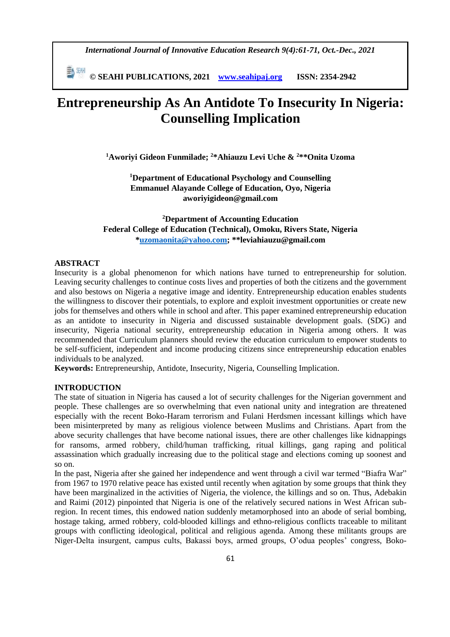*International Journal of Innovative Education Research 9(4):61-71, Oct.-Dec., 2021*

 **© SEAHI PUBLICATIONS, 2021 [www.seahipaj.org](http://www.seahipaj.org/) ISSN: 2354-2942**

# **Entrepreneurship As An Antidote To Insecurity In Nigeria: Counselling Implication**

**<sup>1</sup>Aworiyi Gideon Funmilade; <sup>2</sup>\*Ahiauzu Levi Uche & <sup>2</sup>\*\*Onita Uzoma**

**<sup>1</sup>Department of Educational Psychology and Counselling Emmanuel Alayande College of Education, Oyo, Nigeria aworiyigideon@gmail.com**

**<sup>2</sup>Department of Accounting Education Federal College of Education (Technical), Omoku, Rivers State, Nigeria [\\*uzomaonita@yahoo.com;](mailto:uzomaonita@yahoo.com) \*\*leviahiauzu@gmail.com**

### **ABSTRACT**

Insecurity is a global phenomenon for which nations have turned to entrepreneurship for solution. Leaving security challenges to continue costs lives and properties of both the citizens and the government and also bestows on Nigeria a negative image and identity. Entrepreneurship education enables students the willingness to discover their potentials, to explore and exploit investment opportunities or create new jobs for themselves and others while in school and after. This paper examined entrepreneurship education as an antidote to insecurity in Nigeria and discussed sustainable development goals. (SDG) and insecurity, Nigeria national security, entrepreneurship education in Nigeria among others. It was recommended that Curriculum planners should review the education curriculum to empower students to be self-sufficient, independent and income producing citizens since entrepreneurship education enables individuals to be analyzed.

**Keywords:** Entrepreneurship, Antidote, Insecurity, Nigeria, Counselling Implication.

## **INTRODUCTION**

The state of situation in Nigeria has caused a lot of security challenges for the Nigerian government and people. These challenges are so overwhelming that even national unity and integration are threatened especially with the recent Boko-Haram terrorism and Fulani Herdsmen incessant killings which have been misinterpreted by many as religious violence between Muslims and Christians. Apart from the above security challenges that have become national issues, there are other challenges like kidnappings for ransoms, armed robbery, child/human trafficking, ritual killings, gang raping and political assassination which gradually increasing due to the political stage and elections coming up soonest and so on.

In the past, Nigeria after she gained her independence and went through a civil war termed "Biafra War" from 1967 to 1970 relative peace has existed until recently when agitation by some groups that think they have been marginalized in the activities of Nigeria, the violence, the killings and so on. Thus, Adebakin and Raimi (2012) pinpointed that Nigeria is one of the relatively secured nations in West African subregion. In recent times, this endowed nation suddenly metamorphosed into an abode of serial bombing, hostage taking, armed robbery, cold-blooded killings and ethno-religious conflicts traceable to militant groups with conflicting ideological, political and religious agenda. Among these militants groups are Niger-Delta insurgent, campus cults, Bakassi boys, armed groups, O'odua peoples' congress, Boko-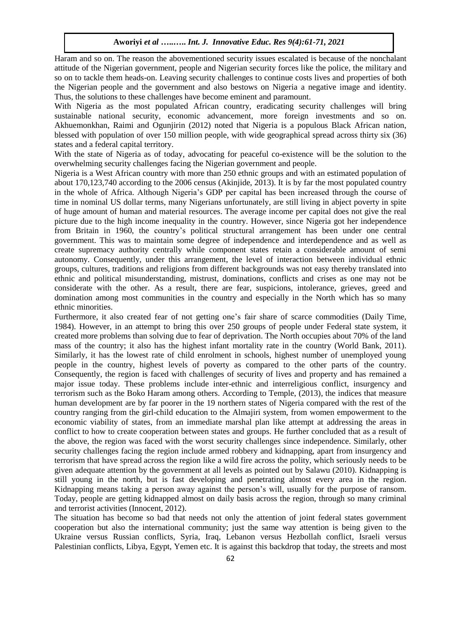Haram and so on. The reason the abovementioned security issues escalated is because of the nonchalant attitude of the Nigerian government, people and Nigerian security forces like the police, the military and so on to tackle them heads-on. Leaving security challenges to continue costs lives and properties of both the Nigerian people and the government and also bestows on Nigeria a negative image and identity. Thus, the solutions to these challenges have become eminent and paramount.

With Nigeria as the most populated African country, eradicating security challenges will bring sustainable national security, economic advancement, more foreign investments and so on. Akhuemonkhan, Raimi and Ogunjirin (2012) noted that Nigeria is a populous Black African nation, blessed with population of over 150 million people, with wide geographical spread across thirty six (36) states and a federal capital territory.

With the state of Nigeria as of today, advocating for peaceful co-existence will be the solution to the overwhelming security challenges facing the Nigerian government and people.

Nigeria is a West African country with more than 250 ethnic groups and with an estimated population of about 170,123,740 according to the 2006 census (Akinjide, 2013). It is by far the most populated country in the whole of Africa. Although Nigeria's GDP per capital has been increased through the course of time in nominal US dollar terms, many Nigerians unfortunately, are still living in abject poverty in spite of huge amount of human and material resources. The average income per capital does not give the real picture due to the high income inequality in the country. However, since Nigeria got her independence from Britain in 1960, the country's political structural arrangement has been under one central government. This was to maintain some degree of independence and interdependence and as well as create supremacy authority centrally while component states retain a considerable amount of semi autonomy. Consequently, under this arrangement, the level of interaction between individual ethnic groups, cultures, traditions and religions from different backgrounds was not easy thereby translated into ethnic and political misunderstanding, mistrust, dominations, conflicts and crises as one may not be considerate with the other. As a result, there are fear, suspicions, intolerance, grieves, greed and domination among most communities in the country and especially in the North which has so many ethnic minorities.

Furthermore, it also created fear of not getting one's fair share of scarce commodities (Daily Time, 1984). However, in an attempt to bring this over 250 groups of people under Federal state system, it created more problems than solving due to fear of deprivation. The North occupies about 70% of the land mass of the country; it also has the highest infant mortality rate in the country (World Bank, 2011). Similarly, it has the lowest rate of child enrolment in schools, highest number of unemployed young people in the country, highest levels of poverty as compared to the other parts of the country. Consequently, the region is faced with challenges of security of lives and property and has remained a major issue today. These problems include inter-ethnic and interreligious conflict, insurgency and terrorism such as the Boko Haram among others. According to Temple, (2013), the indices that measure human development are by far poorer in the 19 northern states of Nigeria compared with the rest of the country ranging from the girl-child education to the Almajiri system, from women empowerment to the economic viability of states, from an immediate marshal plan like attempt at addressing the areas in conflict to how to create cooperation between states and groups. He further concluded that as a result of the above, the region was faced with the worst security challenges since independence. Similarly, other security challenges facing the region include armed robbery and kidnapping, apart from insurgency and terrorism that have spread across the region like a wild fire across the polity, which seriously needs to be given adequate attention by the government at all levels as pointed out by Salawu (2010). Kidnapping is still young in the north, but is fast developing and penetrating almost every area in the region. Kidnapping means taking a person away against the person's will, usually for the purpose of ransom. Today, people are getting kidnapped almost on daily basis across the region, through so many criminal and terrorist activities (Innocent, 2012).

The situation has become so bad that needs not only the attention of joint federal states government cooperation but also the international community; just the same way attention is being given to the Ukraine versus Russian conflicts, Syria, Iraq, Lebanon versus Hezbollah conflict, Israeli versus Palestinian conflicts, Libya, Egypt, Yemen etc. It is against this backdrop that today, the streets and most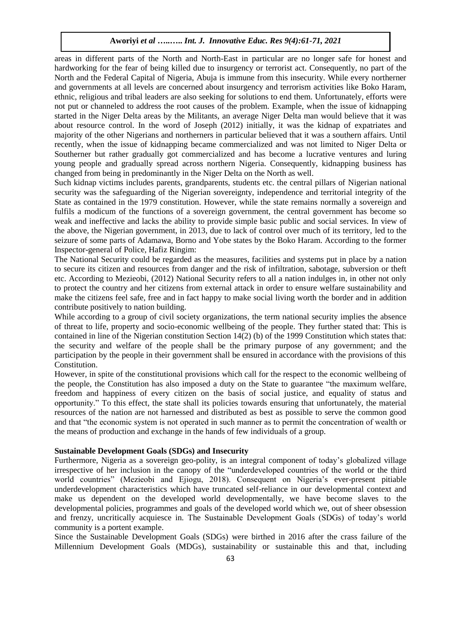areas in different parts of the North and North-East in particular are no longer safe for honest and hardworking for the fear of being killed due to insurgency or terrorist act. Consequently, no part of the North and the Federal Capital of Nigeria, Abuja is immune from this insecurity. While every northerner and governments at all levels are concerned about insurgency and terrorism activities like Boko Haram, ethnic, religious and tribal leaders are also seeking for solutions to end them. Unfortunately, efforts were not put or channeled to address the root causes of the problem. Example, when the issue of kidnapping started in the Niger Delta areas by the Militants, an average Niger Delta man would believe that it was about resource control. In the word of Joseph (2012) initially, it was the kidnap of expatriates and majority of the other Nigerians and northerners in particular believed that it was a southern affairs. Until recently, when the issue of kidnapping became commercialized and was not limited to Niger Delta or Southerner but rather gradually got commercialized and has become a lucrative ventures and luring young people and gradually spread across northern Nigeria. Consequently, kidnapping business has changed from being in predominantly in the Niger Delta on the North as well.

Such kidnap victims includes parents, grandparents, students etc. the central pillars of Nigerian national security was the safeguarding of the Nigerian sovereignty, independence and territorial integrity of the State as contained in the 1979 constitution. However, while the state remains normally a sovereign and fulfils a modicum of the functions of a sovereign government, the central government has become so weak and ineffective and lacks the ability to provide simple basic public and social services. In view of the above, the Nigerian government, in 2013, due to lack of control over much of its territory, led to the seizure of some parts of Adamawa, Borno and Yobe states by the Boko Haram. According to the former Inspector-general of Police, Hafiz Ringim:

The National Security could be regarded as the measures, facilities and systems put in place by a nation to secure its citizen and resources from danger and the risk of infiltration, sabotage, subversion or theft etc. According to Mezieobi, (2012) National Security refers to all a nation indulges in, in other not only to protect the country and her citizens from external attack in order to ensure welfare sustainability and make the citizens feel safe, free and in fact happy to make social living worth the border and in addition contribute positively to nation building.

While according to a group of civil society organizations, the term national security implies the absence of threat to life, property and socio-economic wellbeing of the people. They further stated that: This is contained in line of the Nigerian constitution Section 14(2) (b) of the 1999 Constitution which states that: the security and welfare of the people shall be the primary purpose of any government; and the participation by the people in their government shall be ensured in accordance with the provisions of this Constitution.

However, in spite of the constitutional provisions which call for the respect to the economic wellbeing of the people, the Constitution has also imposed a duty on the State to guarantee "the maximum welfare, freedom and happiness of every citizen on the basis of social justice, and equality of status and opportunity." To this effect, the state shall its policies towards ensuring that unfortunately, the material resources of the nation are not harnessed and distributed as best as possible to serve the common good and that "the economic system is not operated in such manner as to permit the concentration of wealth or the means of production and exchange in the hands of few individuals of a group.

# **Sustainable Development Goals (SDGs) and Insecurity**

Furthermore, Nigeria as a sovereign geo-polity, is an integral component of today's globalized village irrespective of her inclusion in the canopy of the "underdeveloped countries of the world or the third world countries" (Mezieobi and Ejiogu, 2018). Consequent on Nigeria's ever-present pitiable underdevelopment characteristics which have truncated self-reliance in our developmental context and make us dependent on the developed world developmentally, we have become slaves to the developmental policies, programmes and goals of the developed world which we, out of sheer obsession and frenzy, uncritically acquiesce in. The Sustainable Development Goals (SDGs) of today's world community is a portent example.

Since the Sustainable Development Goals (SDGs) were birthed in 2016 after the crass failure of the Millennium Development Goals (MDGs), sustainability or sustainable this and that, including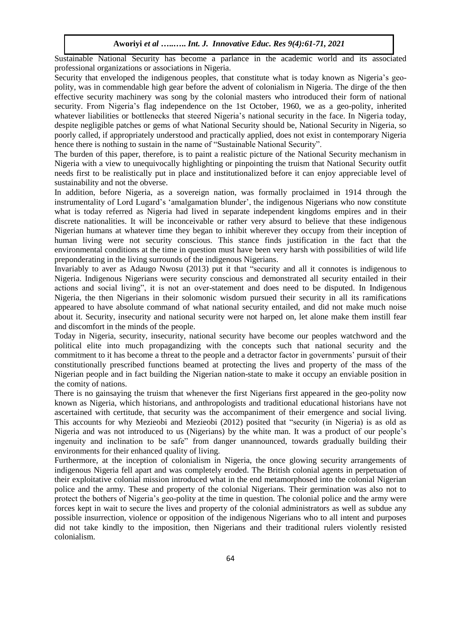Sustainable National Security has become a parlance in the academic world and its associated professional organizations or associations in Nigeria.

Security that enveloped the indigenous peoples, that constitute what is today known as Nigeria's geopolity, was in commendable high gear before the advent of colonialism in Nigeria. The dirge of the then effective security machinery was song by the colonial masters who introduced their form of national security. From Nigeria's flag independence on the 1st October, 1960, we as a geo-polity, inherited whatever liabilities or bottlenecks that steered Nigeria's national security in the face. In Nigeria today, despite negligible patches or gems of what National Security should be, National Security in Nigeria, so poorly called, if appropriately understood and practically applied, does not exist in contemporary Nigeria hence there is nothing to sustain in the name of "Sustainable National Security".

The burden of this paper, therefore, is to paint a realistic picture of the National Security mechanism in Nigeria with a view to unequivocally highlighting or pinpointing the truism that National Security outfit needs first to be realistically put in place and institutionalized before it can enjoy appreciable level of sustainability and not the obverse.

In addition, before Nigeria, as a sovereign nation, was formally proclaimed in 1914 through the instrumentality of Lord Lugard's 'amalgamation blunder', the indigenous Nigerians who now constitute what is today referred as Nigeria had lived in separate independent kingdoms empires and in their discrete nationalities. It will be inconceivable or rather very absurd to believe that these indigenous Nigerian humans at whatever time they began to inhibit wherever they occupy from their inception of human living were not security conscious. This stance finds justification in the fact that the environmental conditions at the time in question must have been very harsh with possibilities of wild life preponderating in the living surrounds of the indigenous Nigerians.

Invariably to aver as Adaugo Nwosu (2013) put it that "security and all it connotes is indigenous to Nigeria. Indigenous Nigerians were security conscious and demonstrated all security entailed in their actions and social living", it is not an over-statement and does need to be disputed. In Indigenous Nigeria, the then Nigerians in their solomonic wisdom pursued their security in all its ramifications appeared to have absolute command of what national security entailed, and did not make much noise about it. Security, insecurity and national security were not harped on, let alone make them instill fear and discomfort in the minds of the people.

Today in Nigeria, security, insecurity, national security have become our peoples watchword and the political elite into much propagandizing with the concepts such that national security and the commitment to it has become a threat to the people and a detractor factor in governments' pursuit of their constitutionally prescribed functions beamed at protecting the lives and property of the mass of the Nigerian people and in fact building the Nigerian nation-state to make it occupy an enviable position in the comity of nations.

There is no gainsaying the truism that whenever the first Nigerians first appeared in the geo-polity now known as Nigeria, which historians, and anthropologists and traditional educational historians have not ascertained with certitude, that security was the accompaniment of their emergence and social living. This accounts for why Mezieobi and Mezieobi (2012) posited that "security (in Nigeria) is as old as Nigeria and was not introduced to us (Nigerians) by the white man. It was a product of our people's ingenuity and inclination to be safe" from danger unannounced, towards gradually building their environments for their enhanced quality of living.

Furthermore, at the inception of colonialism in Nigeria, the once glowing security arrangements of indigenous Nigeria fell apart and was completely eroded. The British colonial agents in perpetuation of their exploitative colonial mission introduced what in the end metamorphosed into the colonial Nigerian police and the army. These and property of the colonial Nigerians. Their germination was also not to protect the bothers of Nigeria's geo-polity at the time in question. The colonial police and the army were forces kept in wait to secure the lives and property of the colonial administrators as well as subdue any possible insurrection, violence or opposition of the indigenous Nigerians who to all intent and purposes did not take kindly to the imposition, then Nigerians and their traditional rulers violently resisted colonialism.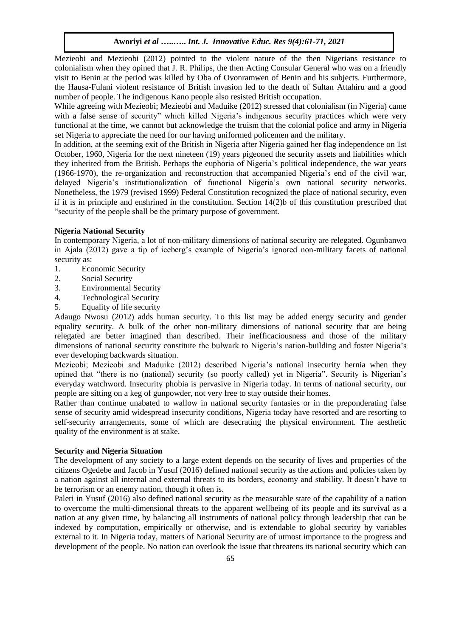Mezieobi and Mezieobi (2012) pointed to the violent nature of the then Nigerians resistance to colonialism when they opined that J. R. Philips, the then Acting Consular General who was on a friendly visit to Benin at the period was killed by Oba of Ovonramwen of Benin and his subjects. Furthermore, the Hausa-Fulani violent resistance of British invasion led to the death of Sultan Attahiru and a good number of people. The indigenous Kano people also resisted British occupation.

While agreeing with Mezieobi; Mezieobi and Maduike (2012) stressed that colonialism (in Nigeria) came with a false sense of security" which killed Nigeria's indigenous security practices which were very functional at the time, we cannot but acknowledge the truism that the colonial police and army in Nigeria set Nigeria to appreciate the need for our having uniformed policemen and the military.

In addition, at the seeming exit of the British in Nigeria after Nigeria gained her flag independence on 1st October, 1960, Nigeria for the next nineteen (19) years pigeoned the security assets and liabilities which they inherited from the British. Perhaps the euphoria of Nigeria's political independence, the war years (1966-1970), the re-organization and reconstruction that accompanied Nigeria's end of the civil war, delayed Nigeria's institutionalization of functional Nigeria's own national security networks. Nonetheless, the 1979 (revised 1999) Federal Constitution recognized the place of national security, even if it is in principle and enshrined in the constitution. Section 14(2)b of this constitution prescribed that "security of the people shall be the primary purpose of government.

## **Nigeria National Security**

In contemporary Nigeria, a lot of non-military dimensions of national security are relegated. Ogunbanwo in Ajala (2012) gave a tip of iceberg's example of Nigeria's ignored non-military facets of national security as:

- 1. Economic Security
- 2. Social Security
- 3. Environmental Security
- 4. Technological Security
- 5. Equality of life security

Adaugo Nwosu (2012) adds human security. To this list may be added energy security and gender equality security. A bulk of the other non-military dimensions of national security that are being relegated are better imagined than described. Their inefficaciousness and those of the military dimensions of national security constitute the bulwark to Nigeria's nation-building and foster Nigeria's ever developing backwards situation.

Mezieobi; Mezieobi and Maduike (2012) described Nigeria's national insecurity hernia when they opined that "there is no (national) security (so poorly called) yet in Nigeria". Security is Nigerian's everyday watchword. Insecurity phobia is pervasive in Nigeria today. In terms of national security, our people are sitting on a keg of gunpowder, not very free to stay outside their homes.

Rather than continue unabated to wallow in national security fantasies or in the preponderating false sense of security amid widespread insecurity conditions, Nigeria today have resorted and are resorting to self-security arrangements, some of which are desecrating the physical environment. The aesthetic quality of the environment is at stake.

# **Security and Nigeria Situation**

The development of any society to a large extent depends on the security of lives and properties of the citizens Ogedebe and Jacob in Yusuf (2016) defined national security as the actions and policies taken by a nation against all internal and external threats to its borders, economy and stability. It doesn't have to be terrorism or an enemy nation, though it often is.

Paleri in Yusuf (2016) also defined national security as the measurable state of the capability of a nation to overcome the multi-dimensional threats to the apparent wellbeing of its people and its survival as a nation at any given time, by balancing all instruments of national policy through leadership that can be indexed by computation, empirically or otherwise, and is extendable to global security by variables external to it. In Nigeria today, matters of National Security are of utmost importance to the progress and development of the people. No nation can overlook the issue that threatens its national security which can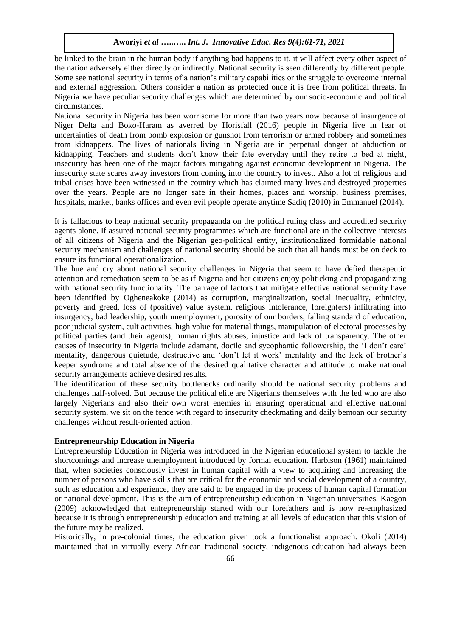be linked to the brain in the human body if anything bad happens to it, it will affect every other aspect of the nation adversely either directly or indirectly. National security is seen differently by different people. Some see national security in terms of a nation's military capabilities or the struggle to overcome internal and external aggression. Others consider a nation as protected once it is free from political threats. In Nigeria we have peculiar security challenges which are determined by our socio-economic and political circumstances.

National security in Nigeria has been worrisome for more than two years now because of insurgence of Niger Delta and Boko-Haram as averred by Horisfall (2016) people in Nigeria live in fear of uncertainties of death from bomb explosion or gunshot from terrorism or armed robbery and sometimes from kidnappers. The lives of nationals living in Nigeria are in perpetual danger of abduction or kidnapping. Teachers and students don't know their fate everyday until they retire to bed at night, insecurity has been one of the major factors mitigating against economic development in Nigeria. The insecurity state scares away investors from coming into the country to invest. Also a lot of religious and tribal crises have been witnessed in the country which has claimed many lives and destroyed properties over the years. People are no longer safe in their homes, places and worship, business premises, hospitals, market, banks offices and even evil people operate anytime Sadiq (2010) in Emmanuel (2014).

It is fallacious to heap national security propaganda on the political ruling class and accredited security agents alone. If assured national security programmes which are functional are in the collective interests of all citizens of Nigeria and the Nigerian geo-political entity, institutionalized formidable national security mechanism and challenges of national security should be such that all hands must be on deck to ensure its functional operationalization.

The hue and cry about national security challenges in Nigeria that seem to have defied therapeutic attention and remediation seem to be as if Nigeria and her citizens enjoy politicking and propagandizing with national security functionality. The barrage of factors that mitigate effective national security have been identified by Ogheneakoke (2014) as corruption, marginalization, social inequality, ethnicity, poverty and greed, loss of (positive) value system, religious intolerance, foreign(ers) infiltrating into insurgency, bad leadership, youth unemployment, porosity of our borders, falling standard of education, poor judicial system, cult activities, high value for material things, manipulation of electoral processes by political parties (and their agents), human rights abuses, injustice and lack of transparency. The other causes of insecurity in Nigeria include adamant, docile and sycophantic followership, the 'I don't care' mentality, dangerous quietude, destructive and 'don't let it work' mentality and the lack of brother's keeper syndrome and total absence of the desired qualitative character and attitude to make national security arrangements achieve desired results.

The identification of these security bottlenecks ordinarily should be national security problems and challenges half-solved. But because the political elite are Nigerians themselves with the led who are also largely Nigerians and also their own worst enemies in ensuring operational and effective national security system, we sit on the fence with regard to insecurity checkmating and daily bemoan our security challenges without result-oriented action.

#### **Entrepreneurship Education in Nigeria**

Entrepreneurship Education in Nigeria was introduced in the Nigerian educational system to tackle the shortcomings and increase unemployment introduced by formal education. Harbison (1961) maintained that, when societies consciously invest in human capital with a view to acquiring and increasing the number of persons who have skills that are critical for the economic and social development of a country, such as education and experience, they are said to be engaged in the process of human capital formation or national development. This is the aim of entrepreneurship education in Nigerian universities. Kaegon (2009) acknowledged that entrepreneurship started with our forefathers and is now re-emphasized because it is through entrepreneurship education and training at all levels of education that this vision of the future may be realized.

Historically, in pre-colonial times, the education given took a functionalist approach. Okoli (2014) maintained that in virtually every African traditional society, indigenous education had always been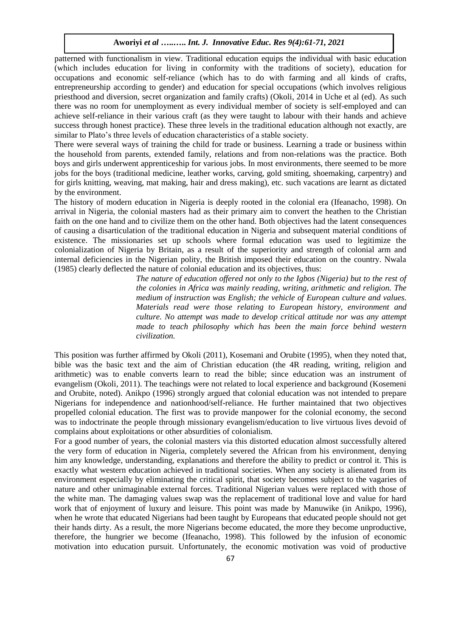patterned with functionalism in view. Traditional education equips the individual with basic education (which includes education for living in conformity with the traditions of society), education for occupations and economic self-reliance (which has to do with farming and all kinds of crafts, entrepreneurship according to gender) and education for special occupations (which involves religious priesthood and diversion, secret organization and family crafts) (Okoli, 2014 in Uche et al (ed). As such there was no room for unemployment as every individual member of society is self-employed and can achieve self-reliance in their various craft (as they were taught to labour with their hands and achieve success through honest practice). These three levels in the traditional education although not exactly, are similar to Plato's three levels of education characteristics of a stable society.

There were several ways of training the child for trade or business. Learning a trade or business within the household from parents, extended family, relations and from non-relations was the practice. Both boys and girls underwent apprenticeship for various jobs. In most environments, there seemed to be more jobs for the boys (traditional medicine, leather works, carving, gold smiting, shoemaking, carpentry) and for girls knitting, weaving, mat making, hair and dress making), etc. such vacations are learnt as dictated by the environment.

The history of modern education in Nigeria is deeply rooted in the colonial era (Ifeanacho, 1998). On arrival in Nigeria, the colonial masters had as their primary aim to convert the heathen to the Christian faith on the one hand and to civilize them on the other hand. Both objectives had the latent consequences of causing a disarticulation of the traditional education in Nigeria and subsequent material conditions of existence. The missionaries set up schools where formal education was used to legitimize the colonialization of Nigeria by Britain, as a result of the superiority and strength of colonial arm and internal deficiencies in the Nigerian polity, the British imposed their education on the country. Nwala (1985) clearly deflected the nature of colonial education and its objectives, thus:

> *The nature of education offered not only to the Igbos (Nigeria) but to the rest of the colonies in Africa was mainly reading, writing, arithmetic and religion. The medium of instruction was English; the vehicle of European culture and values. Materials read were those relating to European history, environment and culture. No attempt was made to develop critical attitude nor was any attempt made to teach philosophy which has been the main force behind western civilization.*

This position was further affirmed by Okoli (2011), Kosemani and Orubite (1995), when they noted that, bible was the basic text and the aim of Christian education (the 4R reading, writing, religion and arithmetic) was to enable converts learn to read the bible; since education was an instrument of evangelism (Okoli, 2011). The teachings were not related to local experience and background (Kosemeni and Orubite, noted). Anikpo (1996) strongly argued that colonial education was not intended to prepare Nigerians for independence and nationhood/self-reliance. He further maintained that two objectives propelled colonial education. The first was to provide manpower for the colonial economy, the second was to indoctrinate the people through missionary evangelism/education to live virtuous lives devoid of complains about exploitations or other absurdities of colonialism.

For a good number of years, the colonial masters via this distorted education almost successfully altered the very form of education in Nigeria, completely severed the African from his environment, denying him any knowledge, understanding, explanations and therefore the ability to predict or control it. This is exactly what western education achieved in traditional societies. When any society is alienated from its environment especially by eliminating the critical spirit, that society becomes subject to the vagaries of nature and other unimaginable external forces. Traditional Nigerian values were replaced with those of the white man. The damaging values swap was the replacement of traditional love and value for hard work that of enjoyment of luxury and leisure. This point was made by Manuwike (in Anikpo, 1996), when he wrote that educated Nigerians had been taught by Europeans that educated people should not get their hands dirty. As a result, the more Nigerians become educated, the more they become unproductive, therefore, the hungrier we become (Ifeanacho, 1998). This followed by the infusion of economic motivation into education pursuit. Unfortunately, the economic motivation was void of productive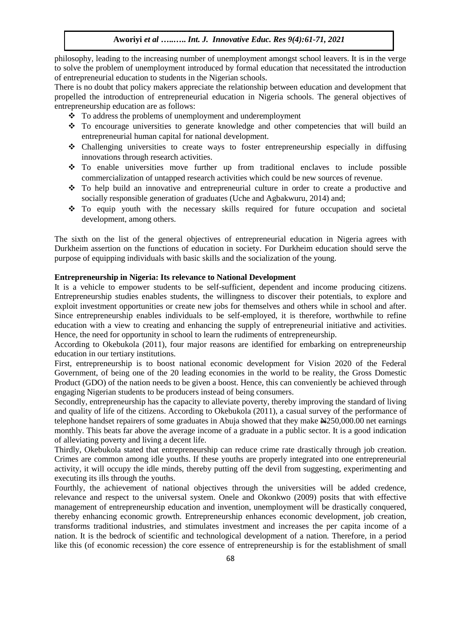philosophy, leading to the increasing number of unemployment amongst school leavers. It is in the verge to solve the problem of unemployment introduced by formal education that necessitated the introduction of entrepreneurial education to students in the Nigerian schools.

There is no doubt that policy makers appreciate the relationship between education and development that propelled the introduction of entrepreneurial education in Nigeria schools. The general objectives of entrepreneurship education are as follows:

- To address the problems of unemployment and underemployment
- \* To encourage universities to generate knowledge and other competencies that will build an entrepreneurial human capital for national development.
- Challenging universities to create ways to foster entrepreneurship especially in diffusing innovations through research activities.
- To enable universities move further up from traditional enclaves to include possible commercialization of untapped research activities which could be new sources of revenue.
- To help build an innovative and entrepreneurial culture in order to create a productive and socially responsible generation of graduates (Uche and Agbakwuru, 2014) and;
- To equip youth with the necessary skills required for future occupation and societal development, among others.

The sixth on the list of the general objectives of entrepreneurial education in Nigeria agrees with Durkheim assertion on the functions of education in society. For Durkheim education should serve the purpose of equipping individuals with basic skills and the socialization of the young.

# **Entrepreneurship in Nigeria: Its relevance to National Development**

It is a vehicle to empower students to be self-sufficient, dependent and income producing citizens. Entrepreneurship studies enables students, the willingness to discover their potentials, to explore and exploit investment opportunities or create new jobs for themselves and others while in school and after. Since entrepreneurship enables individuals to be self-employed, it is therefore, worthwhile to refine education with a view to creating and enhancing the supply of entrepreneurial initiative and activities. Hence, the need for opportunity in school to learn the rudiments of entrepreneurship.

According to Okebukola (2011), four major reasons are identified for embarking on entrepreneurship education in our tertiary institutions.

First, entrepreneurship is to boost national economic development for Vision 2020 of the Federal Government, of being one of the 20 leading economies in the world to be reality, the Gross Domestic Product (GDO) of the nation needs to be given a boost. Hence, this can conveniently be achieved through engaging Nigerian students to be producers instead of being consumers.

Secondly, entrepreneurship has the capacity to alleviate poverty, thereby improving the standard of living and quality of life of the citizens. According to Okebukola (2011), a casual survey of the performance of telephone handset repairers of some graduates in Abuja showed that they make  $\text{H250,000.00}$  net earnings monthly. This beats far above the average income of a graduate in a public sector. It is a good indication of alleviating poverty and living a decent life.

Thirdly, Okebukola stated that entrepreneurship can reduce crime rate drastically through job creation. Crimes are common among idle youths. If these youths are properly integrated into one entrepreneurial activity, it will occupy the idle minds, thereby putting off the devil from suggesting, experimenting and executing its ills through the youths.

Fourthly, the achievement of national objectives through the universities will be added credence, relevance and respect to the universal system. Onele and Okonkwo (2009) posits that with effective management of entrepreneurship education and invention, unemployment will be drastically conquered, thereby enhancing economic growth. Entrepreneurship enhances economic development, job creation, transforms traditional industries, and stimulates investment and increases the per capita income of a nation. It is the bedrock of scientific and technological development of a nation. Therefore, in a period like this (of economic recession) the core essence of entrepreneurship is for the establishment of small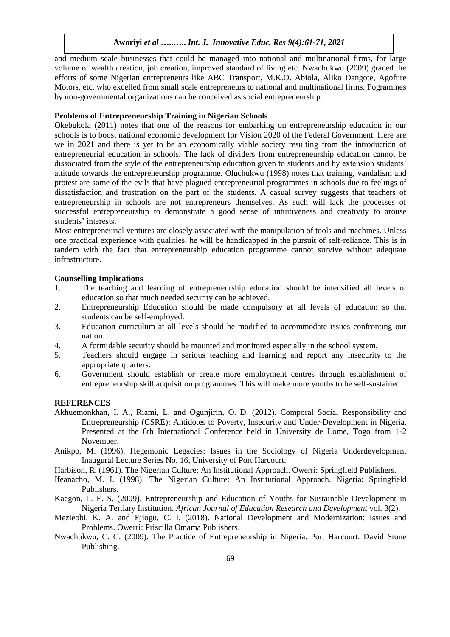and medium scale businesses that could be managed into national and multinational firms, for large volume of wealth creation, job creation, improved standard of living etc. Nwachukwu (2009) graced the efforts of some Nigerian entrepreneurs like ABC Transport, M.K.O. Abiola, Aliko Dangote, Agofure Motors, etc. who excelled from small scale entrepreneurs to national and multinational firms. Pogrammes by non-governmental organizations can be conceived as social entrepreneurship.

# **Problems of Entrepreneurship Training in Nigerian Schools**

Okebukola (2011) notes that one of the reasons for embarking on entrepreneurship education in our schools is to boost national economic development for Vision 2020 of the Federal Government. Here are we in 2021 and there is yet to be an economically viable society resulting from the introduction of entrepreneurial education in schools. The lack of dividers from entrepreneurship education cannot be dissociated from the style of the entrepreneurship education given to students and by extension students' attitude towards the entrepreneurship programme. Oluchukwu (1998) notes that training, vandalism and protest are some of the evils that have plagued entrepreneurial programmes in schools due to feelings of dissatisfaction and frustration on the part of the students. A casual survey suggests that teachers of entrepreneurship in schools are not entrepreneurs themselves. As such will lack the processes of successful entrepreneurship to demonstrate a good sense of intuitiveness and creativity to arouse students' interests.

Most entrepreneurial ventures are closely associated with the manipulation of tools and machines. Unless one practical experience with qualities, he will be handicapped in the pursuit of self-reliance. This is in tandem with the fact that entrepreneurship education programme cannot survive without adequate infrastructure.

## **Counselling Implications**

- 1. The teaching and learning of entrepreneurship education should be intensified all levels of education so that much needed security can be achieved.
- 2. Entrepreneurship Education should be made compulsory at all levels of education so that students can be self-employed.
- 3. Education curriculum at all levels should be modified to accommodate issues confronting our nation.
- 4. A formidable security should be mounted and monitored especially in the school system.
- 5. Teachers should engage in serious teaching and learning and report any insecurity to the appropriate quarters.
- 6. Government should establish or create more employment centres through establishment of entrepreneurship skill acquisition programmes. This will make more youths to be self-sustained.

## **REFERENCES**

- Akhuemonkhan, I. A., Riami, L. and Ogunjirin, O. D. (2012). Comporal Social Responsibility and Entrepreneurship (CSRE): Antidotes to Poverty, Insecurity and Under-Development in Nigeria. Presented at the 6th International Conference held in University de Lome, Togo from 1-2 November.
- Anikpo, M. (1996). Hegemonic Legacies: Issues in the Sociology of Nigeria Underdevelopment Inaugural Lecture Series No. 16, University of Port Harcourt.
- Harbison, R. (1961). The Nigerian Culture: An Institutional Approach. Owerri: Springfield Publishers.
- Ifeanacho, M. I. (1998). The Nigerian Culture: An Institutional Approach. Nigeria: Springfield Publishers.
- Kaegon, L. E. S. (2009). Entrepreneurship and Education of Youths for Sustainable Development in Nigeria Tertiary Institution. *African Journal of Education Research and Development* vol. 3(2).
- Mezieobi, K. A. and Ejiogu, C. I. (2018). National Development and Modernization: Issues and Problems. Owerri: Priscilla Omama Publishers.
- Nwachukwu, C. C. (2009). The Practice of Entrepreneurship in Nigeria. Port Harcourt: David Stone Publishing.